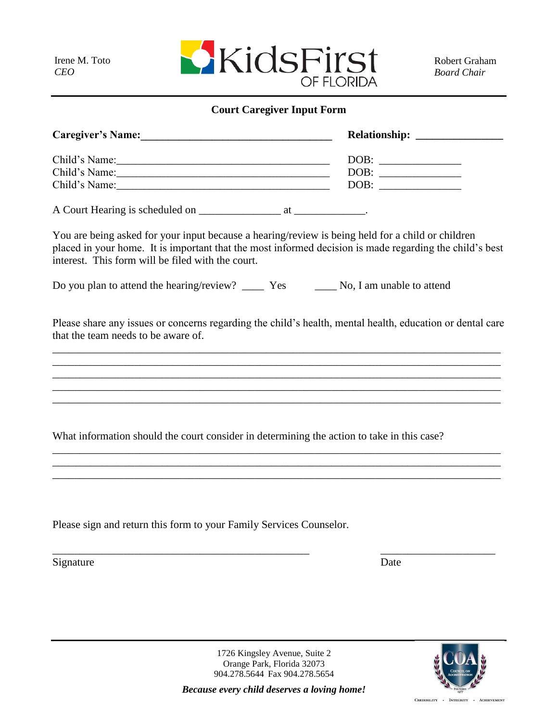Irene M. Toto

*CEO*

## **Court Caregiver Input Form**

| Caregiver's Name: 1988                                                                                                                                                                                                                                            |                                  |
|-------------------------------------------------------------------------------------------------------------------------------------------------------------------------------------------------------------------------------------------------------------------|----------------------------------|
| Child's Name:                                                                                                                                                                                                                                                     |                                  |
| Child's Name:                                                                                                                                                                                                                                                     |                                  |
|                                                                                                                                                                                                                                                                   | $\boxed{\text{DOB}: \ \_\_\_\_}$ |
|                                                                                                                                                                                                                                                                   |                                  |
| You are being asked for your input because a hearing/review is being held for a child or children<br>placed in your home. It is important that the most informed decision is made regarding the child's best<br>interest. This form will be filed with the court. |                                  |
|                                                                                                                                                                                                                                                                   |                                  |
| Please share any issues or concerns regarding the child's health, mental health, education or dental care<br>that the team needs to be aware of.                                                                                                                  |                                  |
|                                                                                                                                                                                                                                                                   |                                  |
| What information should the court consider in determining the action to take in this case?                                                                                                                                                                        |                                  |
| Please sign and return this form to your Family Services Counselor.                                                                                                                                                                                               |                                  |
| Signature                                                                                                                                                                                                                                                         | Date                             |
|                                                                                                                                                                                                                                                                   |                                  |
|                                                                                                                                                                                                                                                                   |                                  |

1726 Kingsley Avenue, Suite 2 Orange Park, Florida 32073 904.278.5644 Fax 904.278.5654

*Because every child deserves a loving home!*

 ${\bf \textsc{Credibility }} \cdot \quad {\bf \textsc{Intercript}} \quad \cdot \quad {\bf \textsc{Achevenent}}$